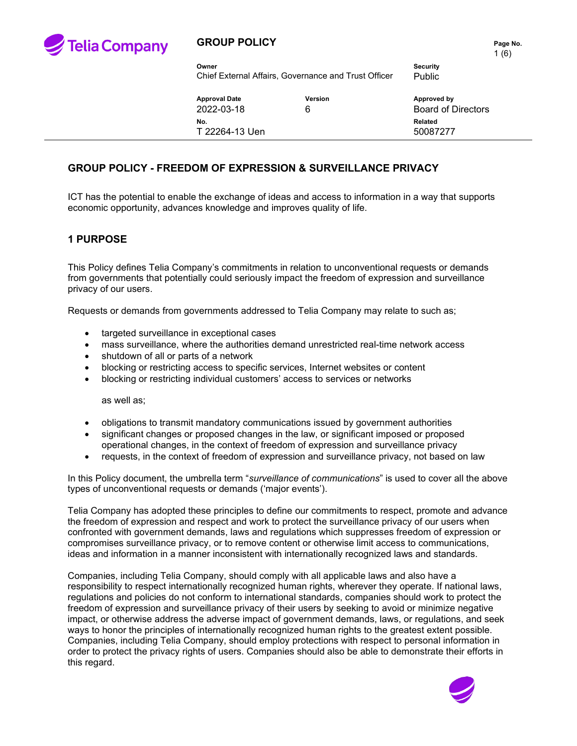

### **GROUP POLICY PAGE 10. Page No. Page No.**

1 (6)

**Owner Security** Chief External Affairs, Governance and Trust Officer Public

**Approval Date Version Approved by** 2022-03-18 6 Board of Directors **No. Related** T 22264-13 Uen 50087277

#### **GROUP POLICY - FREEDOM OF EXPRESSION & SURVEILLANCE PRIVACY**

ICT has the potential to enable the exchange of ideas and access to information in a way that supports economic opportunity, advances knowledge and improves quality of life.

#### **1 PURPOSE**

This Policy defines Telia Company's commitments in relation to unconventional requests or demands from governments that potentially could seriously impact the freedom of expression and surveillance privacy of our users.

Requests or demands from governments addressed to Telia Company may relate to such as;

- targeted surveillance in exceptional cases
- mass surveillance, where the authorities demand unrestricted real-time network access
- shutdown of all or parts of a network
- blocking or restricting access to specific services, Internet websites or content
- blocking or restricting individual customers' access to services or networks

as well as;

- obligations to transmit mandatory communications issued by government authorities
- significant changes or proposed changes in the law, or significant imposed or proposed operational changes, in the context of freedom of expression and surveillance privacy
- requests, in the context of freedom of expression and surveillance privacy, not based on law

In this Policy document, the umbrella term "*surveillance of communications*" is used to cover all the above types of unconventional requests or demands ('major events').

Telia Company has adopted these principles to define our commitments to respect, promote and advance the freedom of expression and respect and work to protect the surveillance privacy of our users when confronted with government demands, laws and regulations which suppresses freedom of expression or compromises surveillance privacy, or to remove content or otherwise limit access to communications, ideas and information in a manner inconsistent with internationally recognized laws and standards.

Companies, including Telia Company, should comply with all applicable laws and also have a responsibility to respect internationally recognized human rights, wherever they operate. If national laws, regulations and policies do not conform to international standards, companies should work to protect the freedom of expression and surveillance privacy of their users by seeking to avoid or minimize negative impact, or otherwise address the adverse impact of government demands, laws, or regulations, and seek ways to honor the principles of internationally recognized human rights to the greatest extent possible. Companies, including Telia Company, should employ protections with respect to personal information in order to protect the privacy rights of users. Companies should also be able to demonstrate their efforts in this regard.

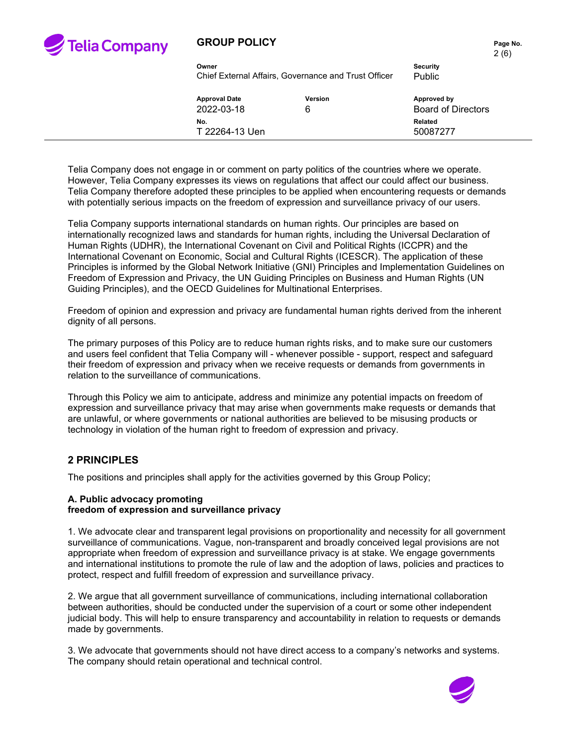

### **GROUP POLICY PAGE 10.** Page No.

|                      |                                                      |                           | 2(6) |
|----------------------|------------------------------------------------------|---------------------------|------|
| Owner                |                                                      | <b>Security</b>           |      |
|                      | Chief External Affairs, Governance and Trust Officer | Public                    |      |
| <b>Approval Date</b> | Version                                              | Approved by               |      |
| 2022-03-18           | 6                                                    | <b>Board of Directors</b> |      |
| No.                  |                                                      | <b>Related</b>            |      |
| T 22264-13 Uen       |                                                      | 50087277                  |      |

Telia Company does not engage in or comment on party politics of the countries where we operate. However, Telia Company expresses its views on regulations that affect our could affect our business. Telia Company therefore adopted these principles to be applied when encountering requests or demands with potentially serious impacts on the freedom of expression and surveillance privacy of our users.

Telia Company supports international standards on human rights. Our principles are based on internationally recognized laws and standards for human rights, including the Universal Declaration of Human Rights (UDHR), the International Covenant on Civil and Political Rights (ICCPR) and the International Covenant on Economic, Social and Cultural Rights (ICESCR). The application of these Principles is informed by the Global Network Initiative (GNI) Principles and Implementation Guidelines on Freedom of Expression and Privacy, the UN Guiding Principles on Business and Human Rights (UN Guiding Principles), and the OECD Guidelines for Multinational Enterprises.

Freedom of opinion and expression and privacy are fundamental human rights derived from the inherent dignity of all persons.

The primary purposes of this Policy are to reduce human rights risks, and to make sure our customers and users feel confident that Telia Company will - whenever possible - support, respect and safeguard their freedom of expression and privacy when we receive requests or demands from governments in relation to the surveillance of communications.

Through this Policy we aim to anticipate, address and minimize any potential impacts on freedom of expression and surveillance privacy that may arise when governments make requests or demands that are unlawful, or where governments or national authorities are believed to be misusing products or technology in violation of the human right to freedom of expression and privacy.

#### **2 PRINCIPLES**

The positions and principles shall apply for the activities governed by this Group Policy;

#### **A. Public advocacy promoting freedom of expression and surveillance privacy**

1. We advocate clear and transparent legal provisions on proportionality and necessity for all government surveillance of communications. Vague, non-transparent and broadly conceived legal provisions are not appropriate when freedom of expression and surveillance privacy is at stake. We engage governments and international institutions to promote the rule of law and the adoption of laws, policies and practices to protect, respect and fulfill freedom of expression and surveillance privacy.

2. We argue that all government surveillance of communications, including international collaboration between authorities, should be conducted under the supervision of a court or some other independent judicial body. This will help to ensure transparency and accountability in relation to requests or demands made by governments.

3. We advocate that governments should not have direct access to a company's networks and systems. The company should retain operational and technical control.

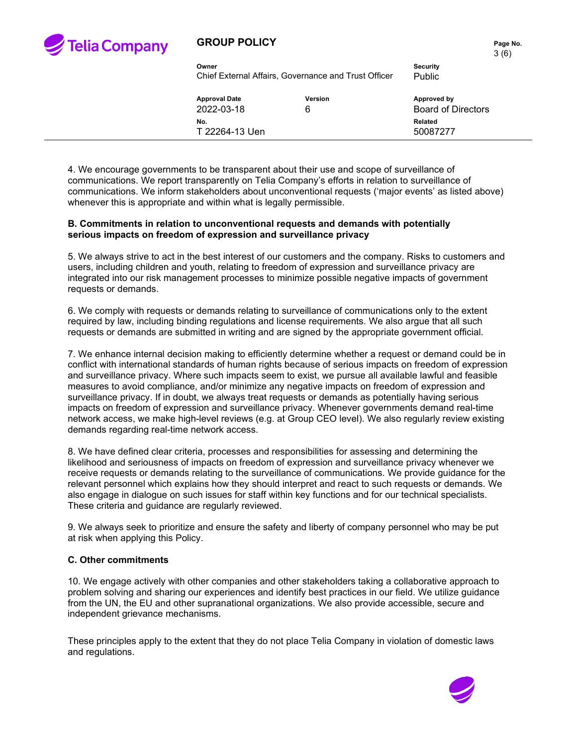

#### **GROUP POLICY PAGE 10. Page No. Page No.**

3 (6)

**Owner Security** Chief External Affairs, Governance and Trust Officer Public

**Approval Date Version Approved by** 2022-03-18 6 Board of Directors **No. Related** T 22264-13 Uen 50087277

4. We encourage governments to be transparent about their use and scope of surveillance of communications. We report transparently on Telia Company's efforts in relation to surveillance of communications. We inform stakeholders about unconventional requests ('major events' as listed above) whenever this is appropriate and within what is legally permissible.

#### **B. Commitments in relation to unconventional requests and demands with potentially serious impacts on freedom of expression and surveillance privacy**

5. We always strive to act in the best interest of our customers and the company. Risks to customers and users, including children and youth, relating to freedom of expression and surveillance privacy are integrated into our risk management processes to minimize possible negative impacts of government requests or demands.

6. We comply with requests or demands relating to surveillance of communications only to the extent required by law, including binding regulations and license requirements. We also argue that all such requests or demands are submitted in writing and are signed by the appropriate government official.

7. We enhance internal decision making to efficiently determine whether a request or demand could be in conflict with international standards of human rights because of serious impacts on freedom of expression and surveillance privacy. Where such impacts seem to exist, we pursue all available lawful and feasible measures to avoid compliance, and/or minimize any negative impacts on freedom of expression and surveillance privacy. If in doubt, we always treat requests or demands as potentially having serious impacts on freedom of expression and surveillance privacy. Whenever governments demand real-time network access, we make high-level reviews (e.g. at Group CEO level). We also regularly review existing demands regarding real-time network access.

8. We have defined clear criteria, processes and responsibilities for assessing and determining the likelihood and seriousness of impacts on freedom of expression and surveillance privacy whenever we receive requests or demands relating to the surveillance of communications. We provide guidance for the relevant personnel which explains how they should interpret and react to such requests or demands. We also engage in dialogue on such issues for staff within key functions and for our technical specialists. These criteria and guidance are regularly reviewed.

9. We always seek to prioritize and ensure the safety and liberty of company personnel who may be put at risk when applying this Policy.

#### **C. Other commitments**

10. We engage actively with other companies and other stakeholders taking a collaborative approach to problem solving and sharing our experiences and identify best practices in our field. We utilize guidance from the UN, the EU and other supranational organizations. We also provide accessible, secure and independent grievance mechanisms.

These principles apply to the extent that they do not place Telia Company in violation of domestic laws and regulations.

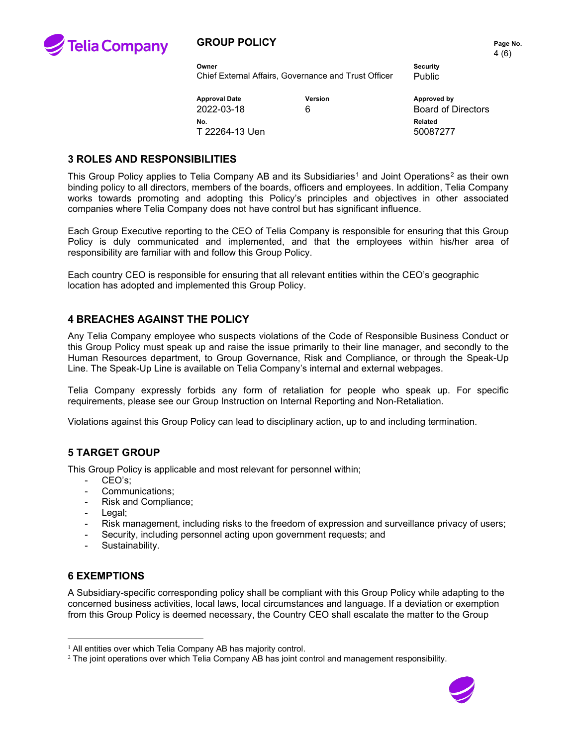

#### **GROUP POLICY PAGE 10. Page No. Page No.**

| Owner                | <b>Security</b><br>Chief External Affairs. Governance and Trust Officer<br><b>Public</b> |                           |
|----------------------|------------------------------------------------------------------------------------------|---------------------------|
| <b>Approval Date</b> | Version                                                                                  | Approved by               |
| 2022-03-18           | 6                                                                                        | <b>Board of Directors</b> |

**No. Related** T 22264-13 Uen 50087277

#### **3 ROLES AND RESPONSIBILITIES**

This Group Policy applies to Telia Company AB and its Subsidiaries<sup>[1](#page-3-0)</sup> and Joint Operations<sup>[2](#page-3-1)</sup> as their own binding policy to all directors, members of the boards, officers and employees. In addition, Telia Company works towards promoting and adopting this Policy's principles and objectives in other associated companies where Telia Company does not have control but has significant influence.

Each Group Executive reporting to the CEO of Telia Company is responsible for ensuring that this Group Policy is duly communicated and implemented, and that the employees within his/her area of responsibility are familiar with and follow this Group Policy.

Each country CEO is responsible for ensuring that all relevant entities within the CEO's geographic location has adopted and implemented this Group Policy.

### **4 BREACHES AGAINST THE POLICY**

Any Telia Company employee who suspects violations of the Code of Responsible Business Conduct or this Group Policy must speak up and raise the issue primarily to their line manager, and secondly to the Human Resources department, to Group Governance, Risk and Compliance, or through the Speak-Up Line. The Speak-Up Line is available on Telia Company's internal and external webpages.

Telia Company expressly forbids any form of retaliation for people who speak up. For specific requirements, please see our Group Instruction on Internal Reporting and Non-Retaliation.

Violations against this Group Policy can lead to disciplinary action, up to and including termination.

### **5 TARGET GROUP**

This Group Policy is applicable and most relevant for personnel within;

- CEO's:
- Communications;
- Risk and Compliance;
- Legal;
- Risk management, including risks to the freedom of expression and surveillance privacy of users;
- Security, including personnel acting upon government requests; and
- Sustainability.

### **6 EXEMPTIONS**

A Subsidiary-specific corresponding policy shall be compliant with this Group Policy while adapting to the concerned business activities, local laws, local circumstances and language. If a deviation or exemption from this Group Policy is deemed necessary, the Country CEO shall escalate the matter to the Group

<span id="page-3-1"></span> $2$  The joint operations over which Telia Company AB has joint control and management responsibility.



<span id="page-3-0"></span><sup>&</sup>lt;sup>1</sup> All entities over which Telia Company AB has majority control.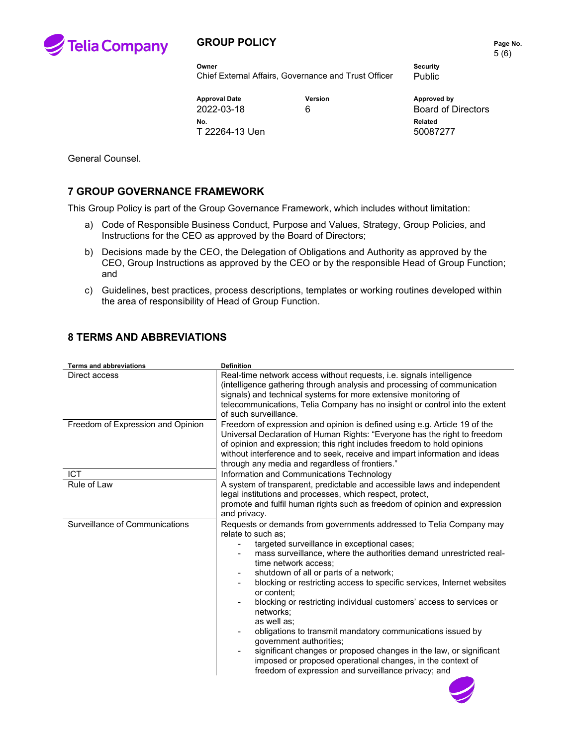

### **GROUP POLICY PAGE 2012 12:25 Page No.**

5 (6)

**Owner Security** Chief External Affairs, Governance and Trust Officer Public

**Approval Date Version Approved by** 2022-03-18 6 Board of Directors **No. Related** T 22264-13 Uen 50087277

General Counsel.

### **7 GROUP GOVERNANCE FRAMEWORK**

This Group Policy is part of the Group Governance Framework, which includes without limitation:

- a) Code of Responsible Business Conduct, Purpose and Values, Strategy, Group Policies, and Instructions for the CEO as approved by the Board of Directors;
- b) Decisions made by the CEO, the Delegation of Obligations and Authority as approved by the CEO, Group Instructions as approved by the CEO or by the responsible Head of Group Function; and
- c) Guidelines, best practices, process descriptions, templates or working routines developed within the area of responsibility of Head of Group Function.

## **8 TERMS AND ABBREVIATIONS**

| <b>Terms and abbreviations</b>    | <b>Definition</b>                                                                                                                                                                                                                                                                                                                                                                                                                                                                                                                                                                                                                                                                                                                                                |
|-----------------------------------|------------------------------------------------------------------------------------------------------------------------------------------------------------------------------------------------------------------------------------------------------------------------------------------------------------------------------------------------------------------------------------------------------------------------------------------------------------------------------------------------------------------------------------------------------------------------------------------------------------------------------------------------------------------------------------------------------------------------------------------------------------------|
| Direct access                     | Real-time network access without requests, <i>i.e.</i> signals intelligence<br>(intelligence gathering through analysis and processing of communication<br>signals) and technical systems for more extensive monitoring of<br>telecommunications, Telia Company has no insight or control into the extent<br>of such surveillance.                                                                                                                                                                                                                                                                                                                                                                                                                               |
| Freedom of Expression and Opinion | Freedom of expression and opinion is defined using e.g. Article 19 of the<br>Universal Declaration of Human Rights: "Everyone has the right to freedom<br>of opinion and expression; this right includes freedom to hold opinions<br>without interference and to seek, receive and impart information and ideas<br>through any media and regardless of frontiers."                                                                                                                                                                                                                                                                                                                                                                                               |
| <b>ICT</b>                        | Information and Communications Technology                                                                                                                                                                                                                                                                                                                                                                                                                                                                                                                                                                                                                                                                                                                        |
| Rule of Law                       | A system of transparent, predictable and accessible laws and independent<br>legal institutions and processes, which respect, protect,<br>promote and fulfil human rights such as freedom of opinion and expression<br>and privacy.                                                                                                                                                                                                                                                                                                                                                                                                                                                                                                                               |
| Surveillance of Communications    | Requests or demands from governments addressed to Telia Company may<br>relate to such as:<br>targeted surveillance in exceptional cases;<br>mass surveillance, where the authorities demand unrestricted real-<br>time network access:<br>shutdown of all or parts of a network;<br>blocking or restricting access to specific services, Internet websites<br>or content;<br>blocking or restricting individual customers' access to services or<br>networks:<br>as well as:<br>obligations to transmit mandatory communications issued by<br>qovernment authorities;<br>significant changes or proposed changes in the law, or significant<br>imposed or proposed operational changes, in the context of<br>freedom of expression and surveillance privacy; and |